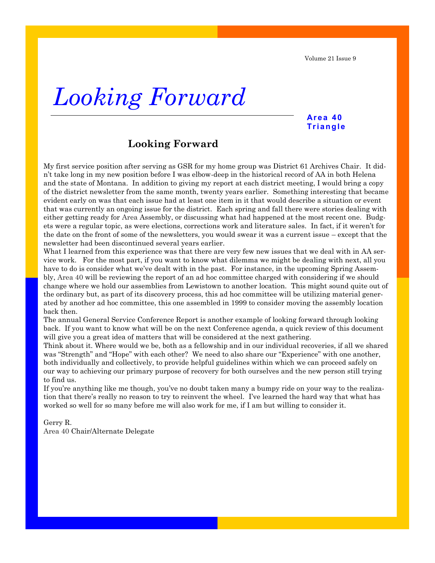Volume 21 Issue 9

## *Looking Forward*

### **Ar e a 4 0 Tr i a ngl e**

### **Looking Forward**

My first service position after serving as GSR for my home group was District 61 Archives Chair. It didn't take long in my new position before I was elbow-deep in the historical record of AA in both Helena and the state of Montana. In addition to giving my report at each district meeting, I would bring a copy of the district newsletter from the same month, twenty years earlier. Something interesting that became evident early on was that each issue had at least one item in it that would describe a situation or event that was currently an ongoing issue for the district. Each spring and fall there were stories dealing with either getting ready for Area Assembly, or discussing what had happened at the most recent one. Budgets were a regular topic, as were elections, corrections work and literature sales. In fact, if it weren't for the date on the front of some of the newsletters, you would swear it was a current issue – except that the newsletter had been discontinued several years earlier.

What I learned from this experience was that there are very few new issues that we deal with in AA service work. For the most part, if you want to know what dilemma we might be dealing with next, all you have to do is consider what we've dealt with in the past. For instance, in the upcoming Spring Assembly, Area 40 will be reviewing the report of an ad hoc committee charged with considering if we should change where we hold our assemblies from Lewistown to another location. This might sound quite out of the ordinary but, as part of its discovery process, this ad hoc committee will be utilizing material generated by another ad hoc committee, this one assembled in 1999 to consider moving the assembly location back then.

The annual General Service Conference Report is another example of looking forward through looking back. If you want to know what will be on the next Conference agenda, a quick review of this document will give you a great idea of matters that will be considered at the next gathering.

Think about it. Where would we be, both as a fellowship and in our individual recoveries, if all we shared was "Strength" and "Hope" with each other? We need to also share our "Experience" with one another, both individually and collectively, to provide helpful guidelines within which we can proceed safely on our way to achieving our primary purpose of recovery for both ourselves and the new person still trying to find us.

If you're anything like me though, you've no doubt taken many a bumpy ride on your way to the realization that there's really no reason to try to reinvent the wheel. I've learned the hard way that what has worked so well for so many before me will also work for me, if I am but willing to consider it.

Gerry R. Area 40 Chair/Alternate Delegate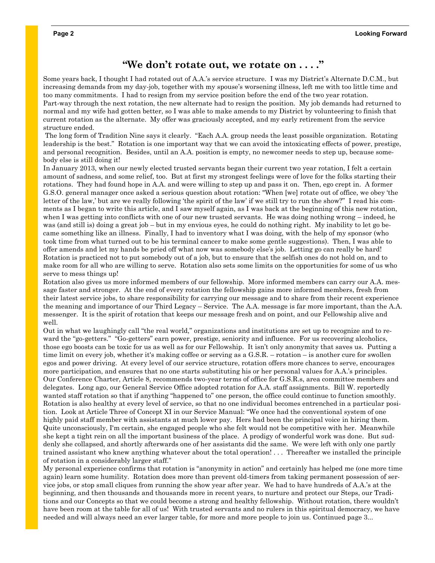### **"We don't rotate out, we rotate on . . . ."**

Some years back, I thought I had rotated out of A.A.'s service structure. I was my District's Alternate D.C.M., but increasing demands from my day-job, together with my spouse's worsening illness, left me with too little time and too many commitments. I had to resign from my service position before the end of the two year rotation. Part-way through the next rotation, the new alternate had to resign the position. My job demands had returned to normal and my wife had gotten better, so I was able to make amends to my District by volunteering to finish that current rotation as the alternate. My offer was graciously accepted, and my early retirement from the service structure ended.

The long form of Tradition Nine says it clearly. "Each A.A. group needs the least possible organization. Rotating leadership is the best." Rotation is one important way that we can avoid the intoxicating effects of power, prestige, and personal recognition. Besides, until an A.A. position is empty, no newcomer needs to step up, because somebody else is still doing it!

In January 2013, when our newly elected trusted servants began their current two year rotation, I felt a certain amount of sadness, and some relief, too. But at first my strongest feelings were of love for the folks starting their rotations. They had found hope in A.A. and were willing to step up and pass it on. Then, ego crept in. A former G.S.O. general manager once asked a serious question about rotation: "When [we] rotate out of office, we obey 'the letter of the law,' but are we really following 'the spirit of the law' if we still try to run the show?" I read his comments as I began to write this article, and I saw myself again, as I was back at the beginning of this new rotation, when I was getting into conflicts with one of our new trusted servants. He was doing nothing wrong – indeed, he was (and still is) doing a great job – but in my envious eyes, he could do nothing right. My inability to let go became something like an illness. Finally, I had to inventory what I was doing, with the help of my sponsor (who took time from what turned out to be his terminal cancer to make some gentle suggestions). Then, I was able to offer amends and let my hands be pried off what now was somebody else's job. Letting go can really be hard! Rotation is practiced not to put somebody out of a job, but to ensure that the selfish ones do not hold on, and to make room for all who are willing to serve. Rotation also sets some limits on the opportunities for some of us who serve to mess things up!

Rotation also gives us more informed members of our fellowship. More informed members can carry our A.A. message faster and stronger. At the end of every rotation the fellowship gains more informed members, fresh from their latest service jobs, to share responsibility for carrying our message and to share from their recent experience the meaning and importance of our Third Legacy – Service. The A.A. message is far more important, than the A.A. messenger. It is the spirit of rotation that keeps our message fresh and on point, and our Fellowship alive and well.

Out in what we laughingly call "the real world," organizations and institutions are set up to recognize and to reward the "go-getters." "Go-getters" earn power, prestige, seniority and influence. For us recovering alcoholics, those ego boosts can be toxic for us as well as for our Fellowship. It isn't only anonymity that saves us. Putting a time limit on every job, whether it's making coffee or serving as a G.S.R. – rotation – is another cure for swollen egos and power driving. At every level of our service structure, rotation offers more chances to serve, encourages more participation, and ensures that no one starts substituting his or her personal values for A.A.'s principles. Our Conference Charter, Article 8, recommends two-year terms of office for G.S.R.s, area committee members and delegates. Long ago, our General Service Office adopted rotation for A.A. staff assignments. Bill W. reportedly wanted staff rotation so that if anything "happened to" one person, the office could continue to function smoothly. Rotation is also healthy at every level of service, so that no one individual becomes entrenched in a particular position. Look at Article Three of Concept XI in our Service Manual: "We once had the conventional system of one highly paid staff member with assistants at much lower pay. Hers had been the principal voice in hiring them. Quite unconsciously, I'm certain, she engaged people who she felt would not be competitive with her. Meanwhile she kept a tight rein on all the important business of the place. A prodigy of wonderful work was done. But suddenly she collapsed, and shortly afterwards one of her assistants did the same. We were left with only one partly trained assistant who knew anything whatever about the total operation! . . . Thereafter we installed the principle of rotation in a considerably larger staff."

My personal experience confirms that rotation is "anonymity in action" and certainly has helped me (one more time again) learn some humility. Rotation does more than prevent old-timers from taking permanent possession of service jobs, or stop small cliques from running the show year after year. We had to have hundreds of A.A.'s at the beginning, and then thousands and thousands more in recent years, to nurture and protect our Steps, our Traditions and our Concepts so that we could become a strong and healthy fellowship. Without rotation, there wouldn't have been room at the table for all of us! With trusted servants and no rulers in this spiritual democracy, we have needed and will always need an ever larger table, for more and more people to join us. Continued page 3...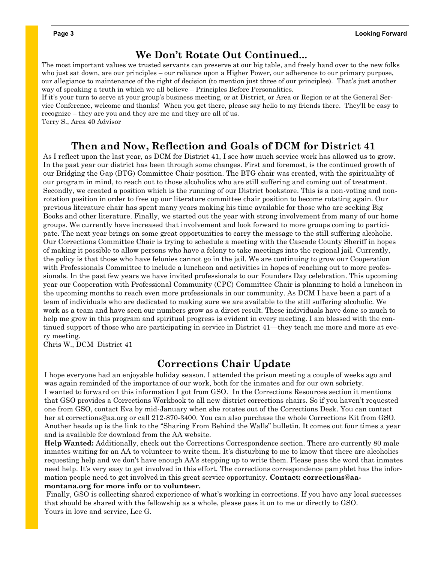### **We Don't Rotate Out Continued...**

The most important values we trusted servants can preserve at our big table, and freely hand over to the new folks who just sat down, are our principles – our reliance upon a Higher Power, our adherence to our primary purpose, our allegiance to maintenance of the right of decision (to mention just three of our principles). That's just another way of speaking a truth in which we all believe – Principles Before Personalities.

If it's your turn to serve at your group's business meeting, or at District, or Area or Region or at the General Service Conference, welcome and thanks! When you get there, please say hello to my friends there. They'll be easy to recognize – they are you and they are me and they are all of us.

Terry S., Area 40 Advisor

### **Then and Now, Reflection and Goals of DCM for District 41**

As I reflect upon the last year, as DCM for District 41, I see how much service work has allowed us to grow. In the past year our district has been through some changes. First and foremost, is the continued growth of our Bridging the Gap (BTG) Committee Chair position. The BTG chair was created, with the spirituality of our program in mind, to reach out to those alcoholics who are still suffering and coming out of treatment. Secondly, we created a position which is the running of our District bookstore. This is a non-voting and nonrotation position in order to free up our literature committee chair position to become rotating again. Our previous literature chair has spent many years making his time available for those who are seeking Big Books and other literature. Finally, we started out the year with strong involvement from many of our home groups. We currently have increased that involvement and look forward to more groups coming to participate. The next year brings on some great opportunities to carry the message to the still suffering alcoholic. Our Corrections Committee Chair is trying to schedule a meeting with the Cascade County Sheriff in hopes of making it possible to allow persons who have a felony to take meetings into the regional jail. Currently, the policy is that those who have felonies cannot go in the jail. We are continuing to grow our Cooperation with Professionals Committee to include a luncheon and activities in hopes of reaching out to more professionals. In the past few years we have invited professionals to our Founders Day celebration. This upcoming year our Cooperation with Professional Community (CPC) Committee Chair is planning to hold a luncheon in the upcoming months to reach even more professionals in our community. As DCM I have been a part of a team of individuals who are dedicated to making sure we are available to the still suffering alcoholic. We work as a team and have seen our numbers grow as a direct result. These individuals have done so much to help me grow in this program and spiritual progress is evident in every meeting. I am blessed with the continued support of those who are participating in service in District 41—they teach me more and more at every meeting.

Chris W., DCM District 41

### **Corrections Chair Update**

I hope everyone had an enjoyable holiday season. I attended the prison meeting a couple of weeks ago and was again reminded of the importance of our work, both for the inmates and for our own sobriety. I wanted to forward on this information I got from GSO. In the Corrections Resources section it mentions that GSO provides a Corrections Workbook to all new district corrections chairs. So if you haven't requested one from GSO, contact Eva by mid-January when she rotates out of the Corrections Desk. You can contact her at corrections@aa.org or call 212-870-3400. You can also purchase the whole Corrections Kit from GSO. Another heads up is the link to the "Sharing From Behind the Walls" bulletin. It comes out four times a year and is available for download from the AA website.

**Help Wanted:** Additionally, check out the Corrections Correspondence section. There are currently 80 male inmates waiting for an AA to volunteer to write them. It's disturbing to me to know that there are alcoholics requesting help and we don't have enough AA's stepping up to write them. Please pass the word that inmates need help. It's very easy to get involved in this effort. The corrections correspondence pamphlet has the information people need to get involved in this great service opportunity. **Contact: corrections@aamontana.org for more info or to volunteer.** 

Finally, GSO is collecting shared experience of what's working in corrections. If you have any local successes that should be shared with the fellowship as a whole, please pass it on to me or directly to GSO. Yours in love and service, Lee G.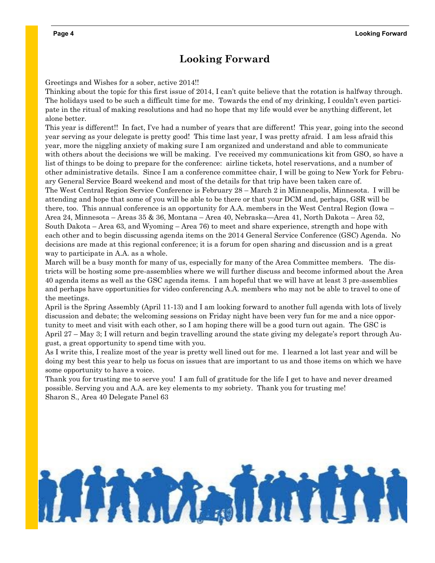### **Looking Forward**

Greetings and Wishes for a sober, active 2014!!

Thinking about the topic for this first issue of 2014, I can't quite believe that the rotation is halfway through. The holidays used to be such a difficult time for me. Towards the end of my drinking, I couldn't even participate in the ritual of making resolutions and had no hope that my life would ever be anything different, let alone better.

This year is different!! In fact, I've had a number of years that are different! This year, going into the second year serving as your delegate is pretty good! This time last year, I was pretty afraid. I am less afraid this year, more the niggling anxiety of making sure I am organized and understand and able to communicate with others about the decisions we will be making. I've received my communications kit from GSO, so have a list of things to be doing to prepare for the conference: airline tickets, hotel reservations, and a number of other administrative details. Since I am a conference committee chair, I will be going to New York for February General Service Board weekend and most of the details for that trip have been taken care of. The West Central Region Service Conference is February 28 – March 2 in Minneapolis, Minnesota. I will be attending and hope that some of you will be able to be there or that your DCM and, perhaps, GSR will be there, too. This annual conference is an opportunity for A.A. members in the West Central Region (Iowa – Area 24, Minnesota – Areas 35 & 36, Montana – Area 40, Nebraska—Area 41, North Dakota – Area 52, South Dakota – Area 63, and Wyoming – Area 76) to meet and share experience, strength and hope with each other and to begin discussing agenda items on the 2014 General Service Conference (GSC) Agenda. No decisions are made at this regional conference; it is a forum for open sharing and discussion and is a great

way to participate in A.A. as a whole.

March will be a busy month for many of us, especially for many of the Area Committee members. The districts will be hosting some pre-assemblies where we will further discuss and become informed about the Area 40 agenda items as well as the GSC agenda items. I am hopeful that we will have at least 3 pre-assemblies and perhaps have opportunities for video conferencing A.A. members who may not be able to travel to one of the meetings.

April is the Spring Assembly (April 11-13) and I am looking forward to another full agenda with lots of lively discussion and debate; the welcoming sessions on Friday night have been very fun for me and a nice opportunity to meet and visit with each other, so I am hoping there will be a good turn out again. The GSC is April 27 – May 3; I will return and begin travelling around the state giving my delegate's report through August, a great opportunity to spend time with you.

As I write this, I realize most of the year is pretty well lined out for me. I learned a lot last year and will be doing my best this year to help us focus on issues that are important to us and those items on which we have some opportunity to have a voice.

Thank you for trusting me to serve you! I am full of gratitude for the life I get to have and never dreamed possible. Serving you and A.A. are key elements to my sobriety. Thank you for trusting me! Sharon S., Area 40 Delegate Panel 63

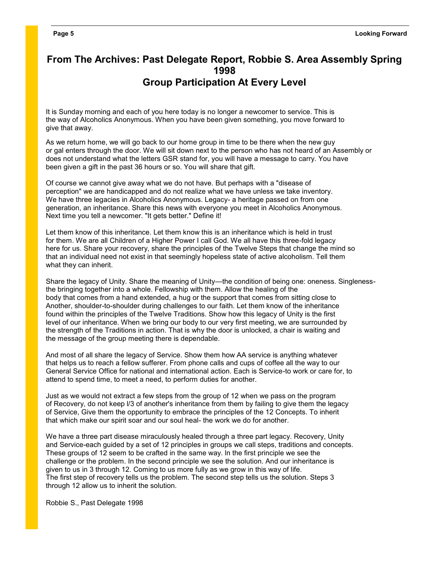### **From The Archives: Past Delegate Report, Robbie S. Area Assembly Spring 1998 Group Participation At Every Level**

It is Sunday morning and each of you here today is no longer a newcomer to service. This is the way of Alcoholics Anonymous. When you have been given something, you move forward to give that away.

As we return home, we will go back to our home group in time to be there when the new guy or gal enters through the door. We will sit down next to the person who has not heard of an Assembly or does not understand what the letters GSR stand for, you will have a message to carry. You have been given a gift in the past 36 hours or so. You will share that gift.

Of course we cannot give away what we do not have. But perhaps with a "disease of perception" we are handicapped and do not realize what we have unless we take inventory. We have three legacies in Alcoholics Anonymous. Legacy- a heritage passed on from one generation, an inheritance. Share this news with everyone you meet in Alcoholics Anonymous. Next time you tell a newcomer. "It gets better." Define it!

Let them know of this inheritance. Let them know this is an inheritance which is held in trust for them. We are all Children of a Higher Power I call God. We all have this three-fold legacy here for us. Share your recovery, share the principles of the Twelve Steps that change the mind so that an individual need not exist in that seemingly hopeless state of active alcoholism. Tell them what they can inherit.

Share the legacy of Unity. Share the meaning of Unity—the condition of being one: oneness. Singlenessthe bringing together into a whole. Fellowship with them. Allow the healing of the body that comes from a hand extended, a hug or the support that comes from sitting close to Another, shoulder-to-shoulder during challenges to our faith. Let them know of the inheritance found within the principles of the Twelve Traditions. Show how this legacy of Unity is the first level of our inheritance. When we bring our body to our very first meeting, we are surrounded by the strength of the Traditions in action. That is why the door is unlocked, a chair is waiting and the message of the group meeting there is dependable.

And most of all share the legacy of Service. Show them how AA service is anything whatever that helps us to reach a fellow sufferer. From phone calls and cups of coffee all the way to our General Service Office for national and international action. Each is Service-to work or care for, to attend to spend time, to meet a need, to perform duties for another.

Just as we would not extract a few steps from the group of 12 when we pass on the program of Recovery, do not keep l/3 of another's inheritance from them by failing to give them the legacy of Service, Give them the opportunity to embrace the principles of the 12 Concepts. To inherit that which make our spirit soar and our soul heal- the work we do for another.

We have a three part disease miraculously healed through a three part legacy. Recovery, Unity and Service-each guided by a set of 12 principles in groups we call steps, traditions and concepts. These groups of 12 seem to be crafted in the same way. ln the first principle we see the challenge or the problem. In the second principle we see the solution. And our inheritance is given to us in 3 through 12. Coming to us more fully as we grow in this way of life. The first step of recovery tells us the problem. The second step tells us the solution. Steps 3 through 12 allow us to inherit the solution.

Robbie S., Past Delegate 1998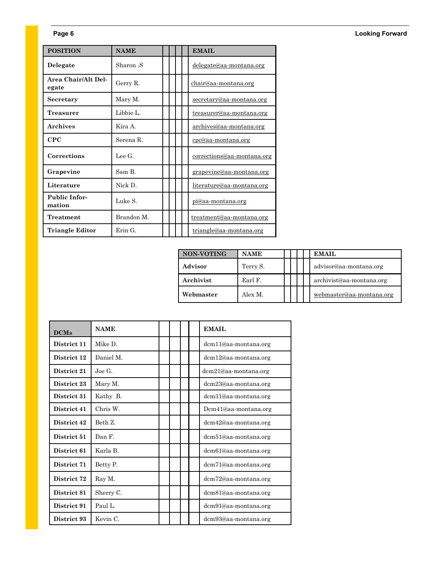### **Page 6 Looking Forward**

| <b>POSITION</b>                | <b>NAME</b> |  |  | <b>EMAIL</b>                    |  |
|--------------------------------|-------------|--|--|---------------------------------|--|
| Delegate                       | Sharon S    |  |  | delegate@aa-montana.org         |  |
| Area Chair/Alt Del-<br>egate   | Gerry R.    |  |  | chair@aa-montana.org            |  |
| Secretary                      | Mary M.     |  |  | secretary@aa-montana.org        |  |
| Treasurer                      | Libbie L.   |  |  | treasurer@aa-montana.org        |  |
| <b>Archives</b>                | Kira A.     |  |  | archives@aa-montana.org         |  |
| CPC                            | Serena R.   |  |  | $cre@aa-montana.org$            |  |
| Corrections                    | Lee G       |  |  | corrections@aa-montana.org      |  |
| Grapevine                      | Sam B       |  |  | grapevine@aa-montana.org        |  |
| Literature                     | Nick D.     |  |  | literature@aa-montana.org       |  |
| <b>Public Infor-</b><br>mation | Luke S.     |  |  | <u>pi@aa-montana.org</u>        |  |
| Treatment                      | Brandon M   |  |  | <u>treatment@aa-montana.org</u> |  |
| <b>Triangle Editor</b>         | Erin G.     |  |  | triangle@aa-montana.org         |  |

| <b>NON-VOTING</b> | <b>NAME</b> |  |  |                        | <b>EMAIL</b>             |  |
|-------------------|-------------|--|--|------------------------|--------------------------|--|
| Advisor           | Terry S.    |  |  | advisor@aa-montana.org |                          |  |
| Archivist         | Earl F.     |  |  |                        | archivist@aa-montana.org |  |
| Webmaster         | Alex M.     |  |  |                        | webmaster@aa-montana.org |  |

| <b>DCMs</b> | <b>NAME</b> |  |  | <b>EMAIL</b>         |  |
|-------------|-------------|--|--|----------------------|--|
| District 11 | Mike D.     |  |  | dcm11@aa-montana.org |  |
| District 12 | Daniel M.   |  |  | dcm12@aa-montana.org |  |
| District 21 | Joe G.      |  |  | dcm21@aa-montana.org |  |
| District 23 | Mary M.     |  |  | dcm23@aa-montana.org |  |
| District 31 | Kathy B.    |  |  | dcm31@aa-montana.org |  |
| District 41 | Chris W.    |  |  | Dcm41@aa-montana.org |  |
| District 42 | Beth Z.     |  |  | dcm42@aa-montana.org |  |
| District 51 | Dan F.      |  |  | dcm51@aa-montana.org |  |
| District 61 | Karla B.    |  |  | dcm61@aa-montana.org |  |
| District 71 | Betty P.    |  |  | dcm71@aa-montana.org |  |
| District 72 | Ray M.      |  |  | dcm72@aa-montana.org |  |
| District 81 | Sherry C.   |  |  | dcm81@aa-montana.org |  |
| District 91 | Paul L.     |  |  | dcm91@aa-montana.org |  |
| District 93 | Kevin C.    |  |  | dcm93@aa-montana.org |  |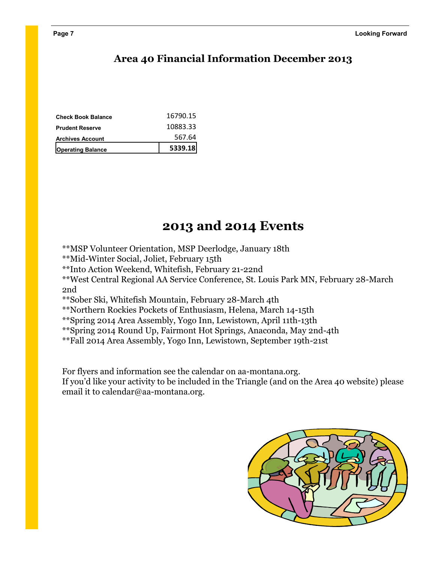### **Area 40 Financial Information December 2013**

| <b>Operating Balance</b>  | 5339.18  |
|---------------------------|----------|
| <b>Archives Account</b>   | 567.64   |
| <b>Prudent Reserve</b>    | 10883.33 |
| <b>Check Book Balance</b> | 16790.15 |

### **2013 and 2014 Events**

\*\*MSP Volunteer Orientation, MSP Deerlodge, January 18th

\*\*Mid-Winter Social, Joliet, February 15th

\*\*Into Action Weekend, Whitefish, February 21-22nd

\*\*West Central Regional AA Service Conference, St. Louis Park MN, February 28-March 2nd

\*\*Sober Ski, Whitefish Mountain, February 28-March 4th

\*\*Northern Rockies Pockets of Enthusiasm, Helena, March 14-15th

\*\*Spring 2014 Area Assembly, Yogo Inn, Lewistown, April 11th-13th

\*\*Spring 2014 Round Up, Fairmont Hot Springs, Anaconda, May 2nd-4th

\*\*Fall 2014 Area Assembly, Yogo Inn, Lewistown, September 19th-21st

For flyers and information see the calendar on aa-montana.org.

If you'd like your activity to be included in the Triangle (and on the Area 40 website) please email it to calendar@aa-montana.org.